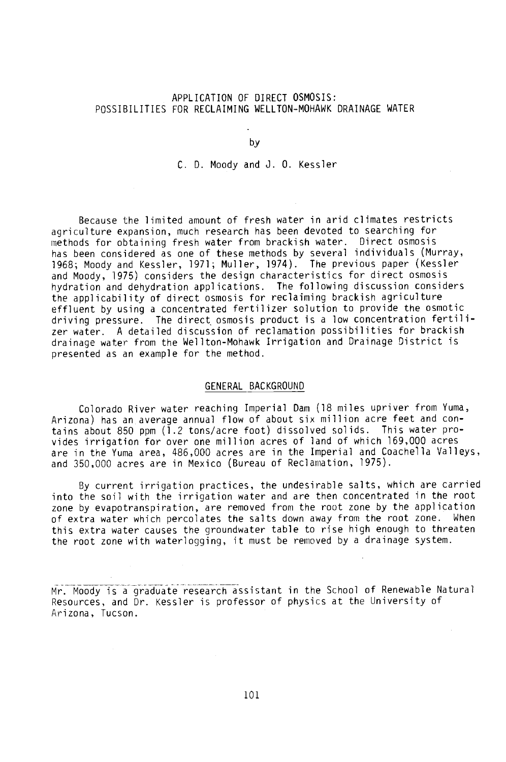# APPLICATION OF DIRECT OSMOSIS: POSSIBILITIES FOR RECLAIMING WELLTON -MOHAWK DRAINAGE WATER

by

C. D. Moody and J. O. Kessler

Because the limited amount of fresh water in arid climates restricts agriculture expansion, much research has been devoted to searching for methods for obtaining fresh water from brackish water. Direct osmosis has been considered as one of these methods by several individuals (Murray, 1968; Moody and Kessler, 1971; Muller, 1974). The previous paper (Kessler and Moody, 1975) considers the design characteristics for direct osmosis hydration and dehydration applications. The following discussion considers the applicability of direct osmosis for reclaiming brackish agriculture effluent by using a concentrated fertilizer solution to provide the osmotic driving pressure. The direct, osmosis product is a low concentration fertilizer water. A detailed discussion of reclamation possibilities for brackish drainage water from the Wellton- Mohawk Irrigation and Drainage District is presented as an example for the method.

#### GENERAL BACKGROUND

Colorado River water reaching Imperial Dam (18 miles upriver from Yuma, Arizona) has an average annual flow of about six million acre feet and contains about 850 ppm (1.2 tons/acre foot) dissolved solids. This water provides irrigation for over one million acres of land of which 169,000 acres are in the Yuma area, 486,000 acres are in the Imperial and Coachella Valleys, and 350,000 acres are in Mexico (Bureau of Reclamation, 1975).

By current irrigation practices, the undesirable salts, which are carried into the soil with the irrigation water and are then concentrated in the root zone by evapotranspiration, are removed from the root zone by the application of extra water which percolates the salts down away from the root zone. When this extra water causes the groundwater table to rise high enough to threaten the root zone with waterlogging, it must be removed by a drainage system.

Mr. Moody is a graduate research assistant in the School of Renewable Natural Resources, and Dr. Kessler is professor of physics at the University of Arizona, Tucson.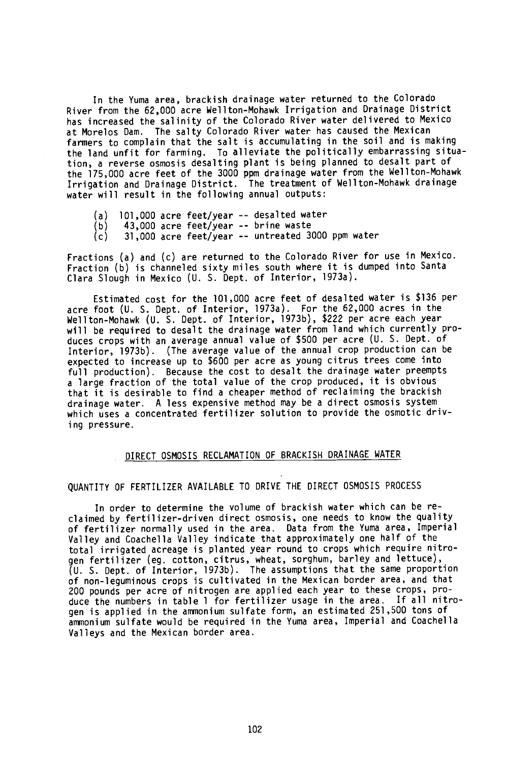In the Yuma area, brackish drainage water returned to the Colorado River from the 62,000 acre Wellton- Mohawk Irrigation and Drainage District has increased the salinity of the Colorado River water delivered to Mexico at Morelos Dam. The salty Colorado River water has caused the Mexican farmers to complain that the salt is accumulating in the soil and is making the land unfit for farming. To alleviate the politically embarrassing situation, a reverse osmosis desalting plant is being planned to desalt part of the 175,000 acre feet of the 3000 ppm drainage water from the Wellton- Mohawk Irrigation and Drainage District. The treatment of Wellton- Mohawk drainage water will result in the following annual outputs:

- (a) 101,000 acre feet/year -- desalted water<br>(b) 43,000 acre feet/year -- brine waste
- $(b)$  43,000 acre feet/year -- brine waste<br>(c) 31,000 acre feet/year -- untreated 30
- 31,000 acre feet/year -- untreated 3000 ppm water

Fractions (a) and (c) are returned to the Colorado River for use in Mexico. Fraction (b) is channeled sixty miles south where it is dumped into Santa Clara Slough in Mexico (U. S. Dept. of Interior, 1973a).

Estimated cost for the 101,000 acre feet of desalted water is \$136 per acre foot (U. S. Dept. of Interior, 1973a). For the 62,000 acres in the Wellton- Mohawk (U. S. Dept. of Interior, 1973b), \$222 per acre each year will be required to desalt the drainage water from land which currently produces crops with an average annual value of \$500 per acre (U. S. Dept. of Interior, 1973b). (The average value of the annual crop production can be expected to increase up to \$600 per acre as young citrus trees come into full production). Because the cost to desalt the drainage water preempts a large fraction of the total value of the crop produced, it is obvious that it is desirable to find a cheaper method of reclaiming the brackish drainage water. A less expensive method may be a direct osmosis system which uses a concentrated fertilizer solution to provide the osmotic driving pressure.

## DIRECT OSMOSIS RECLAMATION OF BRACKISH DRAINAGE WATER

# QUANTITY OF FERTILIZER AVAILABLE TO DRIVE THE DIRECT OSMOSIS PROCESS

In order to determine the volume of brackish water which can be reclaimed by fertilizer- driven direct osmosis, one needs to know the quality of fertilizer normally used in the area. Data from the Yuma area, Imperial Valley and Coachella Valley indicate that approximately one half of the total irrigated acreage is planted year round to crops which require nitrogen fertilizer (eg. cotton, citrus, wheat, sorghum, barley and lettuce), (U. S. Dept. of Interior, 1973b). The assumptions that the same proportion of non -leguminous crops is cultivated in the Mexican border area, and that 200 pounds per acre of nitrogen are applied each year to these crops, produce the numbers in table 1 for fertilizer usage in the area. If all nitrogen is applied in the ammonium sulfate form, an estimated 251,500 tons of ammonium sulfate would be required in the Yuma area, Imperial and Coachella Valleys and the Mexican border area.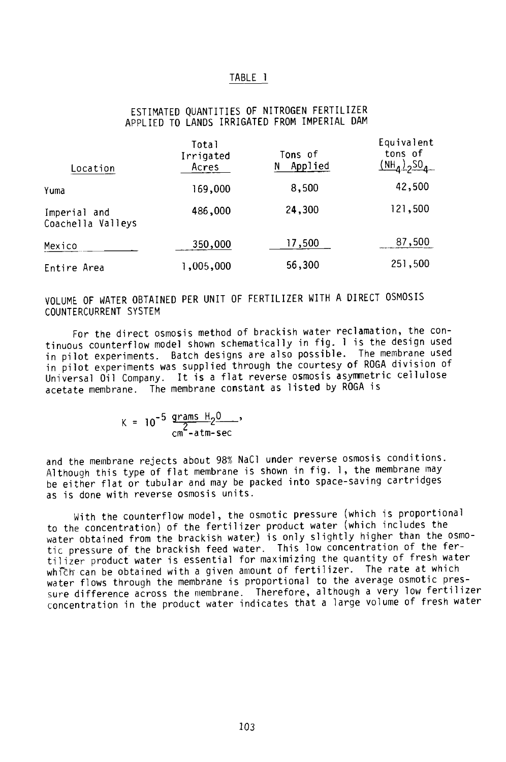### TABLE <sup>1</sup>

# ESTIMATED QUANTITIES OF NITROGEN FERTILIZER APPLIED TO LANDS IRRIGATED FROM IMPERIAL DAM

| Location                          | Total<br>Irrigated<br>Acres | Tons of<br>Applied<br>N | Equivalent<br>tons of<br>$(NH_1)_{2}SO_4$ |  |
|-----------------------------------|-----------------------------|-------------------------|-------------------------------------------|--|
| Yuma                              | 169,000                     | 8,500                   | 42,500                                    |  |
| Imperial and<br>Coachella Valleys | 486,000                     | 24,300                  | 121,500                                   |  |
| Mexico                            | 350,000                     | 17,500                  | 87,500                                    |  |
| Entire Area                       | ,005,000                    | 56,300                  | 251,500                                   |  |

VOLUME OF WATER OBTAINED PER UNIT OF FERTILIZER WITH A DIRECT OSMOSIS COUNTERCURRENT SYSTEM

For the direct osmosis method of brackish water reclamation, the continuous counterflow model shown schematically in fig. <sup>1</sup> is the design used in pilot experiments. Batch designs are also possible. The membrane used in pilot experiments was supplied through the courtesy of ROGA division of Universal Oil Company. It is a flat reverse osmosis asymmetric cellulose acetate membrane. The membrane constant as listed by ROGA is

$$
K = 10^{-5} \frac{\text{grams H}_2^0}{\text{cm}^2\text{-atm-sec}}'
$$

and the membrane rejects about 98% NaCl under reverse osmosis conditions. Although this type of flat membrane is shown in fig. 1, the membrane may be either flat or tubular and may be packed into space-saving cartridges as is done with reverse osmosis units.

With the counterflow model, the osmotic pressure (which is proportional to the concentration) of the fertilizer product water (which includes the water obtained from the brackish water) is only slightly higher than the osmotic pressure of the brackish feed water. This low concentration of the fertilizer product water is essential for maximizing the quantity of fresh water which- can be obtained with a given amount of fertilizer. The rate at which water flows through the membrane is proportional to the average osmotic pressure difference across the membrane. Therefore, although a very low fertilizer concentration in the product water indicates that a large volume of fresh water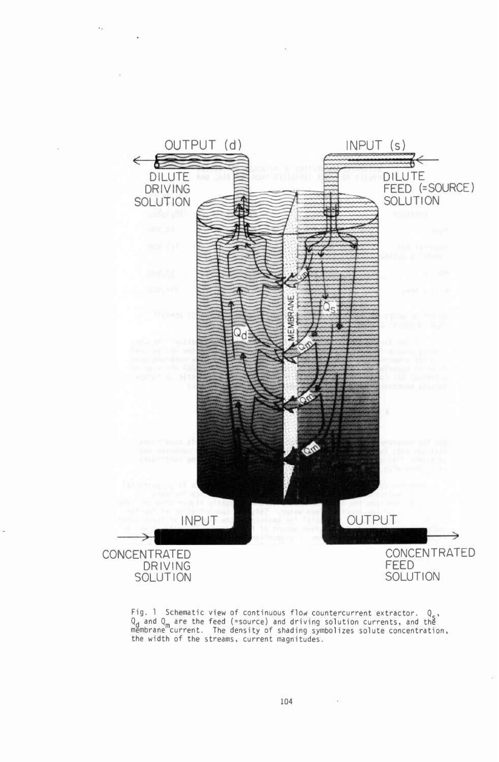

v,

Fig. 1 Schematic view of continuous flow countercurrent extractor. Q.,<br>Q<sub>d</sub> and Q<sub>m</sub> are the feed (=source) and driving solution currents, and the<br>membrane current. The density of shading symbolizes solute concentration,<br>t

 $\sim$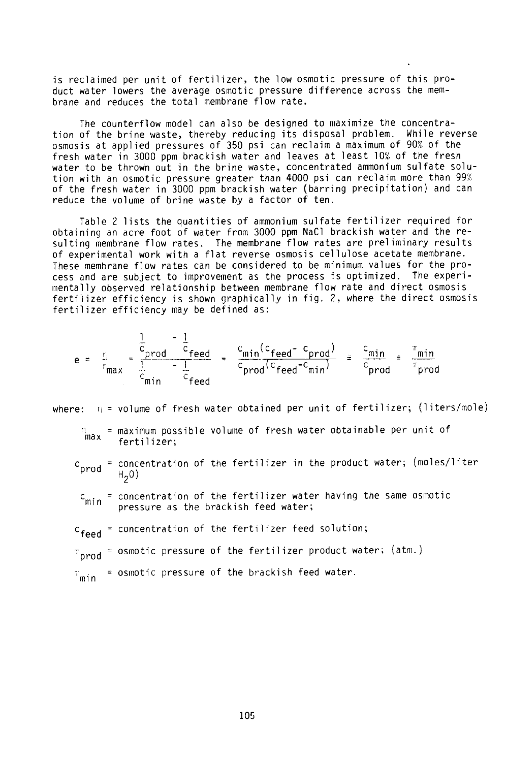is reclaimed per unit of fertilizer, the low osmotic pressure of this product water lowers the average osmotic pressure difference across the membrane and reduces the total membrane flow rate.

The counterflow model can also be designed to maximize the concentration of the brine waste, thereby reducing its disposal problem. While reverse osmosis at applied pressures of 350 psi can reclaim a maximum of 90% of the fresh water in 3000 ppm brackish water and leaves at least 10% of the fresh water to be thrown out in the brine waste, concentrated ammonium sulfate solution with an osmotic pressure greater than 4000 psi can reclaim more than 99% of the fresh water in 3000 ppm brackish water (barring precipitation) and can reduce the volume of brine waste by a factor of ten.

Table 2 lists the quantities of ammonium sulfate fertilizer required for obtaining an acre foot of water from 3000 ppm NaC1 brackish water and the resulting membrane flow rates. The membrane flow rates are preliminary results of experimental work with a flat reverse osmosis cellulose acetate membrane. These membrane flow rates can be considered to be minimum values for the process and are subject to improvement as the process is optimized. The experimentally observed relationship between membrane flow rate and direct osmosis fertilizer efficiency is shown graphically in fig. 2, where the direct osmosis fertilizer efficiency may be defined as:

$$
e = \frac{1}{r_{max}} = \frac{\frac{1}{c_{prod}} - \frac{1}{c_{head}}}{\frac{1}{c_{min}} - \frac{1}{c_{head}}} = \frac{c_{min}(c_{feed} - c_{prod})}{c_{prod}(c_{feed} - c_{min})} = \frac{c_{min}}{c_{prod}} = \frac{\pi_{min}}{\pi_{prod}}
$$

where:  $r_i$  = volume of fresh water obtained per unit of fertilizer; (liters/mole)

- 'max = maximum possible volume of fresh water obtainable per unit of fertilizer;
- c<sub>prod</sub> = concentration of the fertilizer in the product water; (moles/liter<br>H<sub>2</sub>0)
- $c_{\text{min}}$  = concentration of the fertilizer water having the same osmotic pressure as the brackish feed water;
- $c_{\text{fend}}$  = concentration of the fertilizer feed solution;
- $\pi_{\text{prod}}$  = osmotic pressure of the fertilizer product water; (atm.)
- $m_{\text{min}}$  = osmotic pressure of the brackish feed water.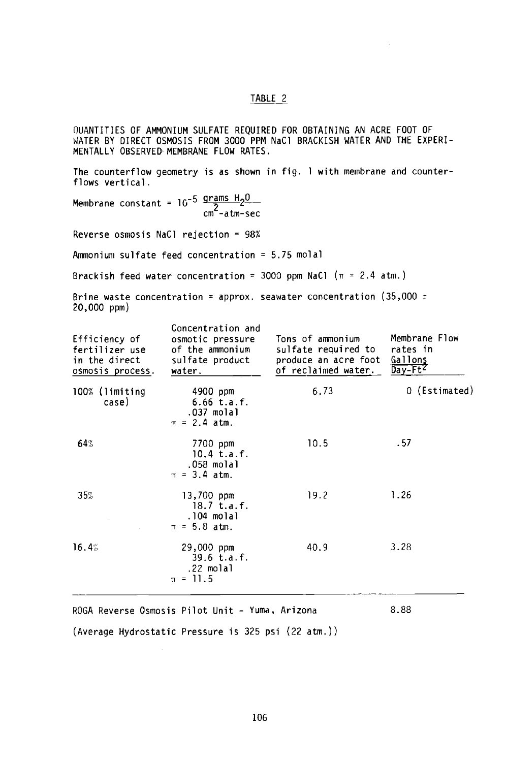#### TABLE 2

QUANTITIES OF AMMONIUM SULFATE REQUIRED FOR OBTAINING AN ACRE FOOT OF WATER BY DIRECT OSMOSIS FROM 3000 PPM NaC1 BRACKISH WATER AND THE EXPERI-MENTALLY OBSERVED, MEMBRANE FLOW RATES.

The counterflow geometry is as shown in fig. 1 with membrane and counterflows vertical.

Membrane constant =  $10^{-5} \frac{\text{grams}}{2} \frac{\text{H}}{\text{m}}$ cm -atm -sec

Reverse osmosis NaCl rejection = 98%

Ammonium sulfate feed concentration = 5.75 molal

Brackish feed water concentration = 3000 ppm NaCl ( $\pi$  = 2.4 atm.)

Brine waste concentration = approx. seawater concentration (35,000  $\pm$ 20,000 ppm)

| Efficiency of<br>fertilizer use<br>in the direct<br>osmosis process. | Concentration and<br>osmotic pressure<br>of the ammonium<br>sulfate product<br>water. | Tons of ammonium<br>sulfate required to<br>produce an acre foot<br>of reclaimed water. | Membrane Flow<br>rates in<br>Gallons<br>$Day-Ft^2$ |
|----------------------------------------------------------------------|---------------------------------------------------------------------------------------|----------------------------------------------------------------------------------------|----------------------------------------------------|
| 100% (limiting<br>case)                                              | 4900 ppm<br>$6.66$ t.a.f.<br>.037 molal<br>$\pi = 2.4$ atm.                           | 6.73                                                                                   | 0 (Estimated)                                      |
| 64%                                                                  | 7700 ppm<br>$10.4$ t.a.f.<br>.058 molal<br>$\pi = 3.4$ atm.                           | 10.5                                                                                   | . 57                                               |
| 35%                                                                  | $13,700$ ppm<br>$18.7$ t.a.f.<br>.104 molal<br>$\pi = 5.8$ atm.                       | 19.2                                                                                   | 1.26                                               |
| 16.4%                                                                | $29,000$ ppm<br>$39.6$ t.a.f.<br>.22 molal<br>$\pi = 11.5$                            | 40.9                                                                                   | 3.28                                               |
|                                                                      |                                                                                       |                                                                                        |                                                    |

ROGA Reverse Osmosis Pilot Unit - Yuma, Arizona 8.88 (Average Hydrostatic Pressure is 325 psi (22 atm.))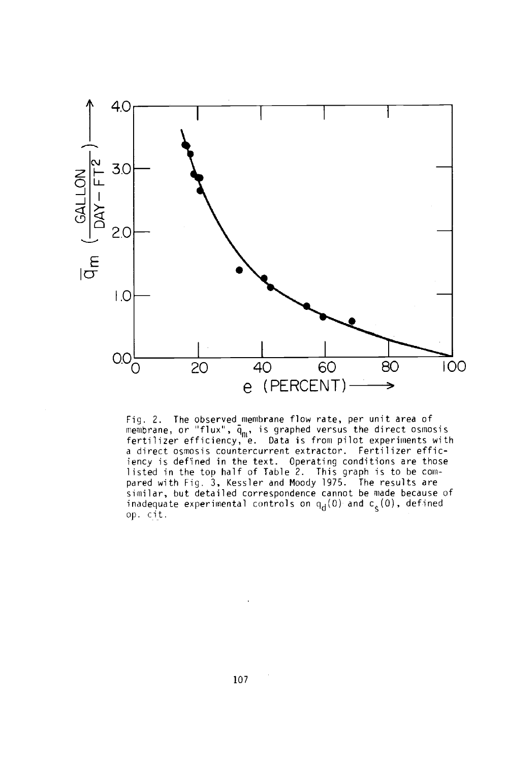

Fig. 2. The observed membrane flow rate, per unit area of membrane, or "flux", q<sub>m</sub>, is graphed versus the direct osmosis fertilizer efficiency, e. Data is from pilot experiments with a direct osmosis countercurrent extractor. Fertilizer efficiency is defined in the text. Operating conditions are those listed in the top half of Table 2. This graph is to be compared with Fig. 3, Kessler and Moody 1975. The results are similar, but detailed correspondence cannot be made because of inadequate experimental controls on  $\mathsf{q}_{\mathsf{d}}(0)$  and  $\mathsf{c}_\varepsilon(0)$ , defined op. cit.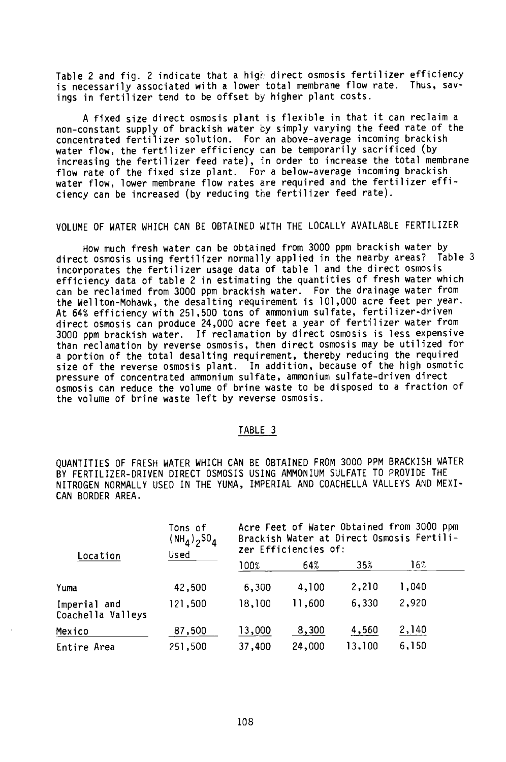Table 2 and fig. 2 indicate that a high direct osmosis fertilizer efficiency is necessarily associated with a lower total membrane flow rate. Thus, savings in fertilizer tend to be offset by higher plant costs.

A fixed size direct osmosis plant is flexible in that it can reclaim a non-constant supply of brackish water by simply varying the feed rate of the concentrated fertilizer solution. For an above -average incoming brackish water flow, the fertilizer efficiency can be temporarily sacrificed (by increasing the fertilizer feed rate), in order to increase the total membrane flow rate of the fixed size plant. For a below-average incoming brackish water flow, lower membrane flow rates are required and the fertilizer efficiency can be increased (by reducing the fertilizer feed rate).

## VOLUME OF WATER WHICH CAN BE OBTAINED WITH THE LOCALLY AVAILABLE FERTILIZER

How much fresh water can be obtained from 3000 ppm brackish water by direct osmosis using fertilizer normally applied in the nearby areas? Table 3 incorporates the fertilizer usage data of table 1 and the direct osmosis efficiency data of table 2 in estimating the quantities of fresh water which can be reclaimed from 3000 ppm brackish water. For the drainage water from the Wellton- Mohawk, the desalting requirement is 101,000 acre feet per year. At 64% efficiency with 251,500 tons of ammonium sulfate, fertilizer- driven direct osmosis can produce 24,000 acre feet a year of fertilizer water from 3000 ppm brackish water. If reclamation by direct osmosis is less expensive than reclamation by reverse osmosis, then direct osmosis may be utilized for a portion of the total desalting requirement, thereby reducing the required size of the reverse osmosis plant. In addition, because of the high osmotic pressure of concentrated ammonium sulfate, ammonium sulfate- driven direct osmosis can reduce the volume of brine waste to be disposed to a fraction of the volume of brine waste left by reverse osmosis.

# TABLE 3

QUANTITIES OF FRESH WATER WHICH CAN BE OBTAINED FROM 3000 PPM BRACKISH WATER BY FERTILIZER -DRIVEN DIRECT OSMOSIS USING AMMONIUM SULFATE TO PROVIDE THE NITROGEN NORMALLY USED IN THE YUMA, IMPERIAL AND COACHELLA VALLEYS AND MEXI-CAN BORDER AREA.

| Location                          | Tons of<br>(NH <sub>4</sub> ) <sub>2</sub> 50 <sub>4</sub><br>Used | Acre Feet of Water Obtained from 3000 ppm<br>Brackish Water at Direct Osmosis Fertili-<br>zer Efficiencies of: |        |        |       |
|-----------------------------------|--------------------------------------------------------------------|----------------------------------------------------------------------------------------------------------------|--------|--------|-------|
|                                   |                                                                    | 100%                                                                                                           | 64%    | 35%    | 16%   |
| Yuma                              | 42,500                                                             | 6,300                                                                                                          | 4,100  | 2,210  | 1,040 |
| Imperial and<br>Coachella Valleys | 121,500                                                            | 18,100                                                                                                         | 11,600 | 6,330  | 2,920 |
| Mexico                            | 87,500                                                             | 13,000                                                                                                         | 8,300  | 4,560  | 2,140 |
| Entire Area                       | 251,500                                                            | 37,400                                                                                                         | 24,000 | 13,100 | 6,150 |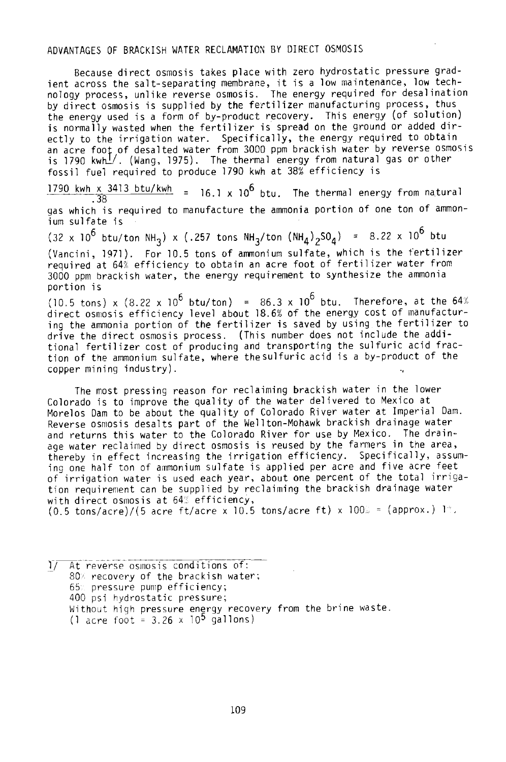# ADVANTAGES OF BRACKISH WATER RECLAMATION BY DIRECT OSMOSIS

Because direct osmosis takes place with zero hydrostatic pressure gradient across the salt- separating membrane, it is a low maintenance, low technology process, unlike reverse osmosis. The energy required for desalination by direct osmosis is supplied by the fertilizer manufacturing process, thus the energy used is a form of by-product recovery. This energy (of solution) is normally wasted when the fertilizer is spread on the ground or added directly to the irrigation water. Specifically, the energy required to obtain an acre foot of desalted water from 3000 ppm brackish water by reverse osmosis is 1790 kwh\_/. (Wang, 1975). The thermal energy from natural gas or other fossil fuel required to produce 1790 kwh at 38% efficiency is

 $\frac{1790 \text{ km} \times 3413 \text{ btu} / \text{Kw}}{38}$  = 16.1 x 10<sup>6</sup> btu. The thermal energy from natural gas which is required to manufacture the ammonia portion of one ton of ammonium sulfate is

(32 x 10<sup>6</sup> btu/ton NH<sub>3</sub>) x (.257 tons NH<sub>3</sub>/ton (NH<sub>4</sub>)<sub>2</sub>SO<sub>4</sub>) = 8.22 x 10<sup>6</sup> btu (Vancini, 1971). For 10.5 tons of ammonium sulfate, which is the fertilizer required at 64% efficiency to obtain an acre foot of fertilizer water from 3000 ppm brackish water, the energy requirement to synthesize the ammonia portion is

(10.5 tons) x (8.22 x 10<sup>6</sup> btu/ton) = 86.3 x 10<sup>6</sup> btu. Therefore, at the 64% direct osmosis efficiency level about 18.6% of the energy cost of manufacturing the ammonia portion of the fertilizer is saved by using the fertilizer to drive the direct osmosis process. (This number does not include the additional fertilizer cost of producing and transporting the sulfuric acid fraction of the ammonium sulfate, where thesulfuric acid is a by- product of the copper mining industry).

The most pressing reason for reclaiming brackish water in the lower Colorado is to improve the quality of the water delivered to Mexico at Morelos Dam to be about the quality of Colorado River water at Imperial Dam. Reverse osmosis desalts part of the Wellton- Mohawk brackish drainage water and returns this water to the Colorado River for use by Mexico. The drainage water reclaimed by direct osmosis is reused by the farmers in the area, thereby in effect increasing the irrigation efficiency. Specifically, assuming one half ton of ammonium sulfate is applied per acre and five acre feet of irrigation water is used each year, about one percent of the total irrigation requirement can be supplied by reclaiming the brackish drainage water with direct osmosis at 64% efficiency,  $(0.5 \text{ tons/acre})/(5 \text{ acre ft/acre} \times 10.5 \text{ tons/acre ft}) \times 100\text{m} = (approx.)$  1%.

1/ At reverse osmosis conditions of: 80% recovery of the brackish water; 65% pressure pump efficiency; 400 psi hydrostatic pressure; Without high pressure energy recovery from the brine waste.  $(1 \text{ acre foot} = 3.26 \times 10^5 \text{ gallons})$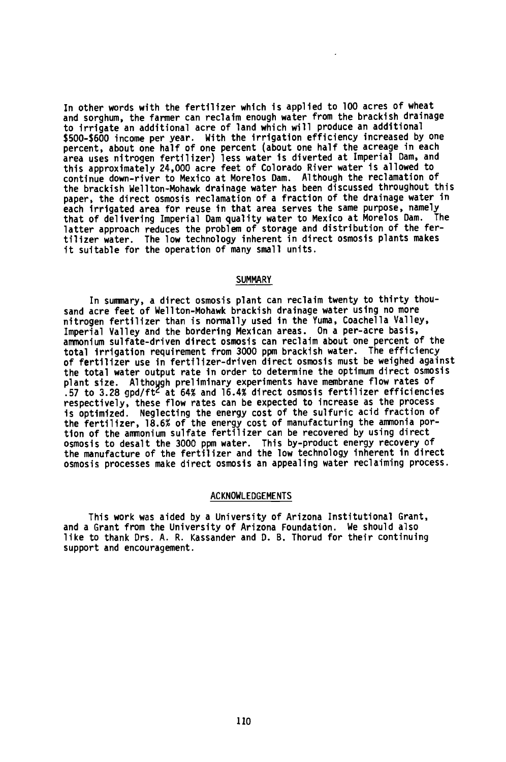In other words with the fertilizer which is applied to 100 acres of wheat and sorghum, the farmer can reclaim enough water from the brackish drainage to irrigate an additional acre of land which will produce an additional \$500 -\$600 income per year. With the irrigation efficiency increased by one percent, about one half of one percent (about one half the acreage in each area uses nitrogen fertilizer) less water is diverted at Imperial Dam, and this approximately 24,000 acre feet of Colorado River water is allowed to continue down -river to Mexico at Morelos Dam. Although the reclamation of the brackish Wellton- Mohawk drainage water has been discussed throughout this paper, the direct osmosis reclamation of a fraction of the drainage water in each irrigated area for reuse in that area serves the same purpose, namely that of delivering Imperial Dam quality water to Mexico at Morelos Dam. The latter approach reduces the problem of storage and distribution of the fertilizer water. The low technology inherent in direct osmosis plants makes it suitable for the operation of many small units.

#### **SUMMARY**

In summary, a direct osmosis plant can reclaim twenty to thirty thousand acre feet of Wellton- Mohawk brackish drainage water using no more nitrogen fertilizer than is normally used in the Yuma, Coachella Valley, Imperial Valley and the bordering Mexican areas. On a per-acre basis, ammonium sulfate- driven direct osmosis can reclaim about one percent of the total irrigation requirement from 3000 ppm brackish water. The efficiency of fertilizer use in fertilizer- driven direct osmosis must be weighed against the total water output rate in order to determine the optimum direct osmosis plant size. Although preliminary experiments have membrane flow rates of .57 to 3.28 gpd /ft at 64% and 16.4% direct osmosis fertilizer efficiencies respectively, these flow rates can be expected to increase as the process is optimized. Neglecting the energy cost of the sulfuric acid fraction of the fertilizer, 18.6% of the energy cost of manufacturing the ammonia portion of the ammonium sulfate fertilizer can be recovered by using direct osmosis to desalt the 3000 ppm water. This by-product energy recovery of the manufacture of the fertilizer and the low technology inherent in direct osmosis processes make direct osmosis an appealing water reclaiming process.

#### ACKNOWLEDGEMENTS

This work was aided by a University of Arizona Institutional Grant, and a Grant from the University of Arizona Foundation. We should also like to thank Drs. A. R. Kassander and D. B. Thorud for their continuing support and encouragement.